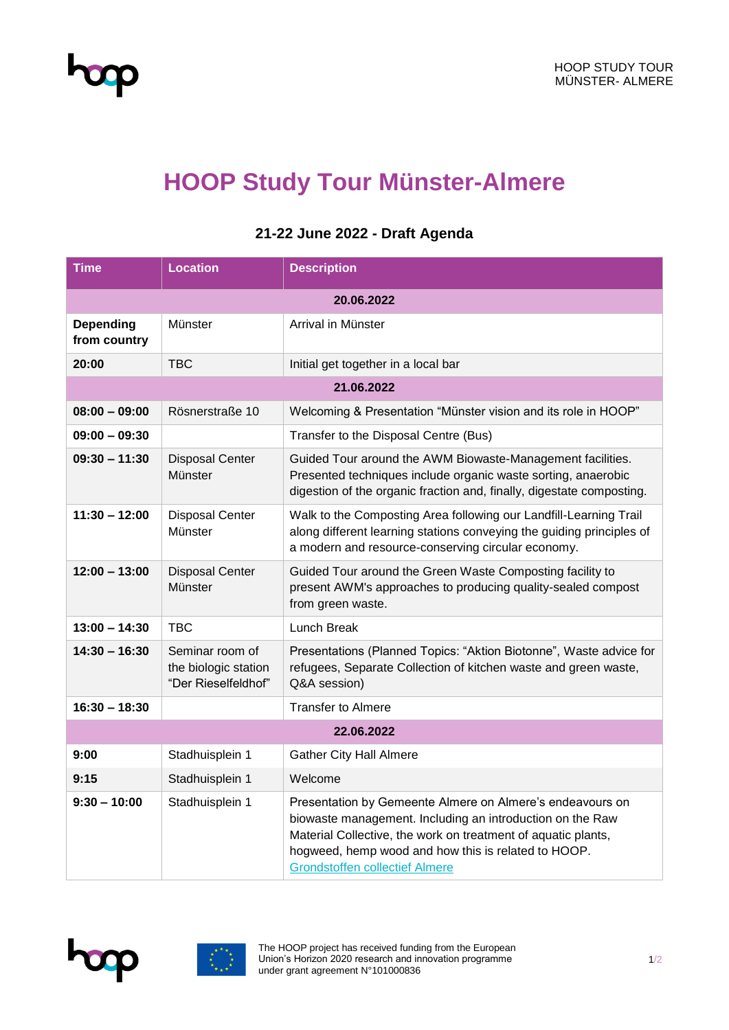

## **HOOP Study Tour Münster-Almere**

| <b>Time</b>               | <b>Location</b>                                                | <b>Description</b>                                                                                                                                                                                                                                                                      |  |
|---------------------------|----------------------------------------------------------------|-----------------------------------------------------------------------------------------------------------------------------------------------------------------------------------------------------------------------------------------------------------------------------------------|--|
| 20.06.2022                |                                                                |                                                                                                                                                                                                                                                                                         |  |
| Depending<br>from country | Münster                                                        | Arrival in Münster                                                                                                                                                                                                                                                                      |  |
| 20:00                     | <b>TBC</b>                                                     | Initial get together in a local bar                                                                                                                                                                                                                                                     |  |
| 21.06.2022                |                                                                |                                                                                                                                                                                                                                                                                         |  |
| $08:00 - 09:00$           | Rösnerstraße 10                                                | Welcoming & Presentation "Münster vision and its role in HOOP"                                                                                                                                                                                                                          |  |
| $09:00 - 09:30$           |                                                                | Transfer to the Disposal Centre (Bus)                                                                                                                                                                                                                                                   |  |
| $09:30 - 11:30$           | <b>Disposal Center</b><br>Münster                              | Guided Tour around the AWM Biowaste-Management facilities.<br>Presented techniques include organic waste sorting, anaerobic<br>digestion of the organic fraction and, finally, digestate composting.                                                                                    |  |
| $11:30 - 12:00$           | <b>Disposal Center</b><br>Münster                              | Walk to the Composting Area following our Landfill-Learning Trail<br>along different learning stations conveying the guiding principles of<br>a modern and resource-conserving circular economy.                                                                                        |  |
| $12:00 - 13:00$           | <b>Disposal Center</b><br>Münster                              | Guided Tour around the Green Waste Composting facility to<br>present AWM's approaches to producing quality-sealed compost<br>from green waste.                                                                                                                                          |  |
| $13:00 - 14:30$           | TBC                                                            | Lunch Break                                                                                                                                                                                                                                                                             |  |
| $14:30 - 16:30$           | Seminar room of<br>the biologic station<br>"Der Rieselfeldhof" | Presentations (Planned Topics: "Aktion Biotonne", Waste advice for<br>refugees, Separate Collection of kitchen waste and green waste,<br>Q&A session)                                                                                                                                   |  |
| $16:30 - 18:30$           |                                                                | <b>Transfer to Almere</b>                                                                                                                                                                                                                                                               |  |
| 22.06.2022                |                                                                |                                                                                                                                                                                                                                                                                         |  |
| 9:00                      | Stadhuisplein 1                                                | <b>Gather City Hall Almere</b>                                                                                                                                                                                                                                                          |  |
| 9:15                      | Stadhuisplein 1                                                | Welcome                                                                                                                                                                                                                                                                                 |  |
| $9:30 - 10:00$            | Stadhuisplein 1                                                | Presentation by Gemeente Almere on Almere's endeavours on<br>biowaste management. Including an introduction on the Raw<br>Material Collective, the work on treatment of aquatic plants,<br>hogweed, hemp wood and how this is related to HOOP.<br><b>Grondstoffen collectief Almere</b> |  |

## **21-22 June 2022 - Draft Agenda**